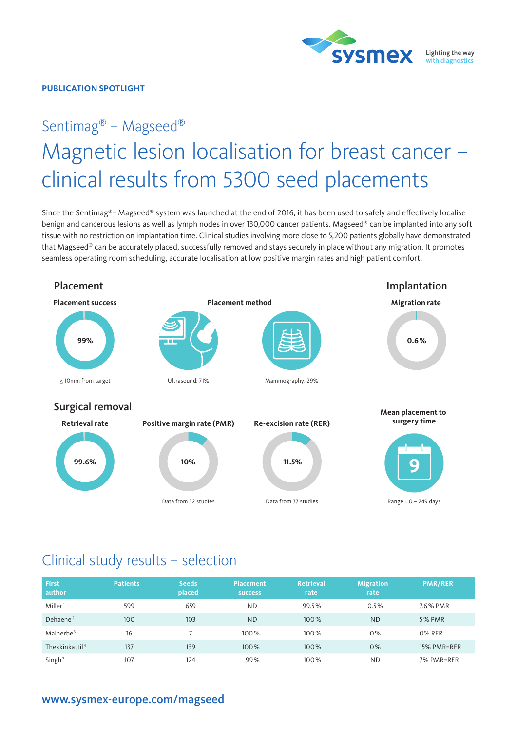

#### **PUBLICATION SPOTLIGHT**

# Sentimag® – Magseed® Magnetic lesion localisation for breast cancer – clinical results from 5300 seed placements

Since the Sentimag®– Magseed® system was launched at the end of 2016, it has been used to safely and effectively localise benign and cancerous lesions as well as lymph nodes in over 130,000 cancer patients. Magseed® can be implanted into any soft tissue with no restriction on implantation time. Clinical studies involving more close to 5,200 patients globally have demonstrated that Magseed® can be accurately placed, successfully removed and stays securely in place without any migration. It promotes seamless operating room scheduling, accurate localisation at low positive margin rates and high patient comfort.



# Clinical study results – selection

| <b>First</b><br>author     | <b>Patients</b> | <b>Seeds</b><br>placed | <b>Placement</b><br><b>SUCCESS</b> | <b>Retrieval</b><br>rate | <b>Migration</b><br>rate | <b>PMR/RER</b> |
|----------------------------|-----------------|------------------------|------------------------------------|--------------------------|--------------------------|----------------|
| Miller <sup>1</sup>        | 599             | 659                    | <b>ND</b>                          | 99.5%                    | 0.5%                     | 7.6% PMR       |
| Dehaene <sup>2</sup>       | 100             | 103                    | <b>ND</b>                          | 100%                     | <b>ND</b>                | <b>5% PMR</b>  |
| Malherbe <sup>3</sup>      | 16              |                        | 100%                               | 100%                     | 0%                       | 0% RER         |
| Thekkinkattil <sup>4</sup> | 137             | 139                    | 100%                               | 100%                     | 0%                       | 15% PMR=RER    |
| Singh <sup>7</sup>         | 107             | 124                    | 99%                                | 100%                     | <b>ND</b>                | 7% PMR=RER     |

### [www.sysmex-europe.com/magseed](https://www.sysmex-europe.com/products/sentimag-magseed-in-breast-cancer-4395.html)